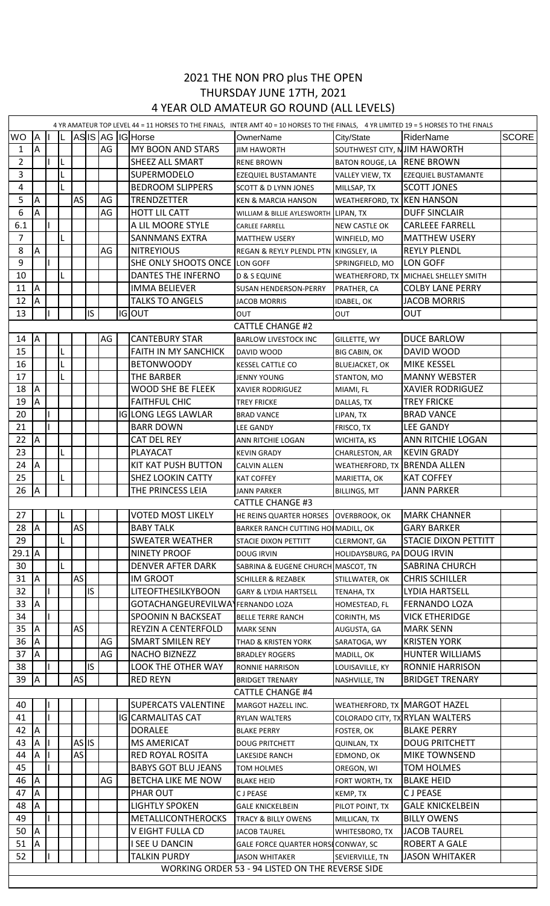## 2021 THE NON PRO plus THE OPEN THURSDAY JUNE 17TH, 2021 4 YEAR OLD AMATEUR GO ROUND (ALL LEVELS)

| 4 YR AMATEUR TOP LEVEL 44 = 11 HORSES TO THE FINALS, INTER AMT 40 = 10 HORSES TO THE FINALS, 4 YR LIMITED 19 = 5 HORSES TO THE FINALS |                |  |  |                    |     |    |  |                                  |                                                  |                              |                                 |              |
|---------------------------------------------------------------------------------------------------------------------------------------|----------------|--|--|--------------------|-----|----|--|----------------------------------|--------------------------------------------------|------------------------------|---------------------------------|--------------|
| <b>WO</b>                                                                                                                             | A              |  |  |                    |     |    |  | ASIS AG IGHorse                  | OwnerName                                        | City/State                   | RiderName                       | <b>SCORE</b> |
| 1                                                                                                                                     | $\overline{A}$ |  |  |                    |     | AG |  | <b>MY BOON AND STARS</b>         | <b>JIM HAWORTH</b>                               | SOUTHWEST CITY, NJIM HAWORTH |                                 |              |
| $\overline{2}$                                                                                                                        |                |  |  |                    |     |    |  | <b>SHEEZ ALL SMART</b>           | <b>RENE BROWN</b>                                | BATON ROUGE, LA RENE BROWN   |                                 |              |
| 3                                                                                                                                     |                |  |  |                    |     |    |  | <b>SUPERMODELO</b>               | EZEQUIEL BUSTAMANTE                              | VALLEY VIEW, TX              | <b>EZEQUIEL BUSTAMANTE</b>      |              |
| $\overline{\mathbf{4}}$                                                                                                               |                |  |  |                    |     |    |  | <b>BEDROOM SLIPPERS</b>          | <b>SCOTT &amp; D LYNN JONES</b>                  | MILLSAP, TX                  | <b>SCOTT JONES</b>              |              |
| 5                                                                                                                                     | A              |  |  | AS                 |     | AG |  | <b>TRENDZETTER</b>               | <b>KEN &amp; MARCIA HANSON</b>                   | WEATHERFORD, TX KEN HANSON   |                                 |              |
| 6                                                                                                                                     | Α              |  |  |                    |     | AG |  | <b>HOTT LIL CATT</b>             | WILLIAM & BILLIE AYLESWORTH LIPAN, TX            |                              | <b>DUFF SINCLAIR</b>            |              |
| 6.1                                                                                                                                   |                |  |  |                    |     |    |  | A LIL MOORE STYLE                | <b>CARLEE FARRELL</b>                            | <b>NEW CASTLE OK</b>         | <b>CARLEEE FARRELL</b>          |              |
| $\overline{7}$                                                                                                                        |                |  |  |                    |     |    |  | <b>SANNMANS EXTRA</b>            | <b>MATTHEW USERY</b>                             | WINFIELD, MO                 | <b>MATTHEW USERY</b>            |              |
| 8                                                                                                                                     | A              |  |  |                    |     | AG |  | <b>NITREYIOUS</b>                | REGAN & REYLY PLENDL PTN KINGSLEY, IA            |                              | <b>REYLY PLENDL</b>             |              |
| 9                                                                                                                                     |                |  |  |                    |     |    |  | SHE ONLY SHOOTS ONCE LON GOFF    |                                                  | SPRINGFIELD, MO              | LON GOFF                        |              |
| 10                                                                                                                                    |                |  |  |                    |     |    |  | DANTES THE INFERNO               | <b>D &amp; S EQUINE</b>                          | WEATHERFORD, TX              | MICHAEL SHELLEY SMITH           |              |
| 11                                                                                                                                    | A              |  |  |                    |     |    |  | <b>IMMA BELIEVER</b>             | <b>SUSAN HENDERSON-PERRY</b>                     | PRATHER, CA                  | <b>COLBY LANE PERRY</b>         |              |
| 12                                                                                                                                    | $\overline{A}$ |  |  |                    |     |    |  | <b>TALKS TO ANGELS</b>           | <b>JACOB MORRIS</b>                              | IDABEL, OK                   | <b>JACOB MORRIS</b>             |              |
| 13                                                                                                                                    |                |  |  |                    | IS. |    |  | <b>IGOUT</b>                     | OUT                                              | OUT                          | OUT                             |              |
|                                                                                                                                       |                |  |  |                    |     |    |  |                                  | <b>CATTLE CHANGE #2</b>                          |                              |                                 |              |
| 14                                                                                                                                    | ΙA             |  |  |                    |     | AG |  | <b>CANTEBURY STAR</b>            | <b>BARLOW LIVESTOCK INC</b>                      | GILLETTE, WY                 | <b>DUCE BARLOW</b>              |              |
| 15                                                                                                                                    |                |  |  |                    |     |    |  | <b>FAITH IN MY SANCHICK</b>      | DAVID WOOD                                       | <b>BIG CABIN, OK</b>         | DAVID WOOD                      |              |
| 16                                                                                                                                    |                |  |  |                    |     |    |  | <b>BETONWOODY</b>                | <b>KESSEL CATTLE CO</b>                          | <b>BLUEJACKET, OK</b>        | <b>MIKE KESSEL</b>              |              |
| 17                                                                                                                                    |                |  |  |                    |     |    |  | <b>THE BARBER</b>                | <b>JENNY YOUNG</b>                               | STANTON, MO                  | <b>MANNY WEBSTER</b>            |              |
| 18                                                                                                                                    | <b>A</b>       |  |  |                    |     |    |  | <b>WOOD SHE BE FLEEK</b>         |                                                  |                              | <b>XAVIER RODRIGUEZ</b>         |              |
| 19                                                                                                                                    | A              |  |  |                    |     |    |  | <b>FAITHFUL CHIC</b>             | XAVIER RODRIGUEZ<br><b>TREY FRICKE</b>           | MIAMI, FL                    | <b>TREY FRICKE</b>              |              |
| 20                                                                                                                                    |                |  |  |                    |     |    |  | <b>IGLONG LEGS LAWLAR</b>        |                                                  | DALLAS, TX                   | <b>BRAD VANCE</b>               |              |
| 21                                                                                                                                    |                |  |  |                    |     |    |  | <b>BARR DOWN</b>                 | <b>BRAD VANCE</b>                                | LIPAN, TX                    | <b>LEE GANDY</b>                |              |
| 22                                                                                                                                    | <b>A</b>       |  |  |                    |     |    |  |                                  | <b>LEE GANDY</b>                                 | FRISCO, TX                   | ANN RITCHIE LOGAN               |              |
| 23                                                                                                                                    |                |  |  |                    |     |    |  | <b>CAT DEL REY</b>               | ANN RITCHIE LOGAN                                | WICHITA, KS                  |                                 |              |
|                                                                                                                                       |                |  |  |                    |     |    |  | PLAYACAT                         | <b>KEVIN GRADY</b>                               | CHARLESTON, AR               | <b>KEVIN GRADY</b>              |              |
| 24                                                                                                                                    | A              |  |  |                    |     |    |  | KIT KAT PUSH BUTTON              | <b>CALVIN ALLEN</b>                              | WEATHERFORD, TX              | <b>BRENDA ALLEN</b>             |              |
| 25                                                                                                                                    |                |  |  |                    |     |    |  | <b>SHEZ LOOKIN CATTY</b>         | <b>KAT COFFEY</b>                                | MARIETTA, OK                 | <b>KAT COFFEY</b>               |              |
| 26                                                                                                                                    | A              |  |  |                    |     |    |  | THE PRINCESS LEIA                | <b>JANN PARKER</b>                               | <b>BILLINGS, MT</b>          | <b>JANN PARKER</b>              |              |
|                                                                                                                                       |                |  |  |                    |     |    |  |                                  | <b>CATTLE CHANGE #3</b>                          |                              |                                 |              |
| 27                                                                                                                                    |                |  |  |                    |     |    |  | VOTED MOST LIKELY                | HE REINS QUARTER HORSES OVERBROOK, OK            |                              | MARK CHANNER                    |              |
| 28                                                                                                                                    | <b>A</b>       |  |  | AS                 |     |    |  | <b>BABY TALK</b>                 | BARKER RANCH CUTTING HO MADILL, OK               |                              | <b>GARY BARKER</b>              |              |
| 29                                                                                                                                    |                |  |  |                    |     |    |  | <b>SWEATER WEATHER</b>           | STACIE DIXON PETTITT                             | CLERMONT, GA                 | <b>STACIE DIXON PETTITT</b>     |              |
| $29.1$ A                                                                                                                              |                |  |  |                    |     |    |  | <b>NINETY PROOF</b>              | <b>DOUG IRVIN</b>                                | HOLIDAYSBURG, PA DOUG IRVIN  |                                 |              |
| 30                                                                                                                                    |                |  |  |                    |     |    |  | <b>DENVER AFTER DARK</b>         | SABRINA & EUGENE CHURCH MASCOT, TN               |                              | <b>SABRINA CHURCH</b>           |              |
| 31                                                                                                                                    | <b>J</b>       |  |  | AS                 |     |    |  | <b>IM GROOT</b>                  | <b>SCHILLER &amp; REZABEK</b>                    | STILLWATER, OK               | <b>CHRIS SCHILLER</b>           |              |
| 32                                                                                                                                    |                |  |  |                    | IS  |    |  | <b>LITEOFTHESILKYBOON</b>        | <b>GARY &amp; LYDIA HARTSELL</b>                 | TENAHA, TX                   | LYDIA HARTSELL                  |              |
| 33                                                                                                                                    | <b>A</b>       |  |  |                    |     |    |  | GOTACHANGEUREVILWAYFERNANDO LOZA |                                                  | HOMESTEAD, FL                | <b>FERNANDO LOZA</b>            |              |
| 34                                                                                                                                    |                |  |  |                    |     |    |  | SPOONIN N BACKSEAT               | <b>BELLE TERRE RANCH</b>                         | CORINTH, MS                  | <b>VICK ETHERIDGE</b>           |              |
| 35                                                                                                                                    | <b>A</b>       |  |  | AS                 |     |    |  | REYZIN A CENTERFOLD              | <b>MARK SENN</b>                                 | AUGUSTA, GA                  | <b>MARK SENN</b>                |              |
| 36                                                                                                                                    | <b>A</b>       |  |  |                    |     | AG |  | <b>SMART SMILEN REY</b>          | THAD & KRISTEN YORK                              | SARATOGA, WY                 | <b>KRISTEN YORK</b>             |              |
| 37                                                                                                                                    | A              |  |  |                    |     | AG |  | NACHO BIZNEZZ                    | <b>BRADLEY ROGERS</b>                            | MADILL, OK                   | <b>HUNTER WILLIAMS</b>          |              |
| 38                                                                                                                                    |                |  |  |                    | IS. |    |  | LOOK THE OTHER WAY               | <b>RONNIE HARRISON</b>                           | LOUISAVILLE, KY              | <b>RONNIE HARRISON</b>          |              |
| 39                                                                                                                                    | <b>A</b>       |  |  | AS                 |     |    |  | <b>RED REYN</b>                  | <b>BRIDGET TRENARY</b>                           | NASHVILLE, TN                | <b>BRIDGET TRENARY</b>          |              |
|                                                                                                                                       |                |  |  |                    |     |    |  |                                  | <b>CATTLE CHANGE #4</b>                          |                              |                                 |              |
| 40                                                                                                                                    |                |  |  |                    |     |    |  | <b>SUPERCATS VALENTINE</b>       | MARGOT HAZELL INC.                               |                              | WEATHERFORD, TX MARGOT HAZEL    |              |
| 41                                                                                                                                    |                |  |  |                    |     |    |  | <b>IGICARMALITAS CAT</b>         | <b>RYLAN WALTERS</b>                             |                              | COLORADO CITY, TX RYLAN WALTERS |              |
| 42                                                                                                                                    | <b>IA</b>      |  |  |                    |     |    |  | <b>DORALEE</b>                   | <b>BLAKE PERRY</b>                               | FOSTER, OK                   | <b>BLAKE PERRY</b>              |              |
| 43                                                                                                                                    | ΙA             |  |  | $AS$ <sub>IS</sub> |     |    |  | <b>MS AMERICAT</b>               | <b>DOUG PRITCHETT</b>                            | <b>QUINLAN, TX</b>           | <b>DOUG PRITCHETT</b>           |              |
| 44                                                                                                                                    | A              |  |  | AS                 |     |    |  | <b>RED ROYAL ROSITA</b>          | LAKESIDE RANCH                                   | EDMOND, OK                   | MIKE TOWNSEND                   |              |
| 45                                                                                                                                    |                |  |  |                    |     |    |  | <b>BABYS GOT BLU JEANS</b>       | TOM HOLMES                                       | OREGON, WI                   | TOM HOLMES                      |              |
| 46                                                                                                                                    | <b>A</b>       |  |  |                    |     | AG |  | BETCHA LIKE ME NOW               | <b>BLAKE HEID</b>                                | FORT WORTH, TX               | <b>BLAKE HEID</b>               |              |
| 47                                                                                                                                    | A              |  |  |                    |     |    |  | PHAR OUT                         | <b>CJPEASE</b>                                   | KEMP, TX                     | <b>CJPEASE</b>                  |              |
| 48                                                                                                                                    | ΙA             |  |  |                    |     |    |  | <b>LIGHTLY SPOKEN</b>            | <b>GALE KNICKELBEIN</b>                          | PILOT POINT, TX              | <b>GALE KNICKELBEIN</b>         |              |
| 49                                                                                                                                    |                |  |  |                    |     |    |  | <b>METALLICONTHEROCKS</b>        | <b>TRACY &amp; BILLY OWENS</b>                   | MILLICAN, TX                 | <b>BILLY OWENS</b>              |              |
| 50                                                                                                                                    | <b>A</b>       |  |  |                    |     |    |  | V EIGHT FULLA CD                 | <b>JACOB TAUREL</b>                              | WHITESBORO, TX               | <b>JACOB TAUREL</b>             |              |
| 51                                                                                                                                    | <b>A</b>       |  |  |                    |     |    |  | I SEE U DANCIN                   | GALE FORCE QUARTER HORSECONWAY, SC               |                              | <b>ROBERT A GALE</b>            |              |
| 52                                                                                                                                    |                |  |  |                    |     |    |  | <b>TALKIN PURDY</b>              | <b>JASON WHITAKER</b>                            | SEVIERVILLE, TN              | <b>JASON WHITAKER</b>           |              |
|                                                                                                                                       |                |  |  |                    |     |    |  |                                  | WORKING ORDER 53 - 94 LISTED ON THE REVERSE SIDE |                              |                                 |              |
|                                                                                                                                       |                |  |  |                    |     |    |  |                                  |                                                  |                              |                                 |              |